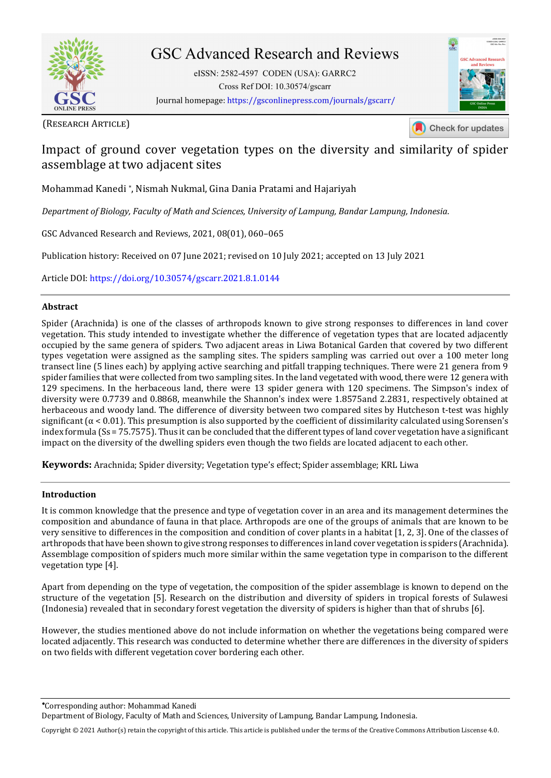

# **GSC Advanced Research and Reviews**

eISSN: 2582-4597 CODEN (USA): GARRC2 Cross Ref DOI: 10.30574/gscarr Journal homepage: https://gsconlinepress.com/journals/gscarr/

(RESEARCH ARTICLE)

Check for updates

## Impact of ground cover vegetation types on the diversity and similarity of spider assemblage at two adjacent sites

Mohammad Kanedi \* , Nismah Nukmal, Gina Dania Pratami and Hajariyah

*Department of Biology, Faculty of Math and Sciences, University of Lampung, Bandar Lampung, Indonesia.* 

GSC Advanced Research and Reviews, 2021, 08(01), 060–065

Publication history: Received on 07 June 2021; revised on 10 July 2021; accepted on 13 July 2021

Article DOI[: https://doi.org/10.30574/gscarr.2021.8.1.0144](https://doi.org/10.30574/gscarr.2021.8.1.0144)

## **Abstract**

Spider (Arachnida) is one of the classes of arthropods known to give strong responses to differences in land cover vegetation. This study intended to investigate whether the difference of vegetation types that are located adjacently occupied by the same genera of spiders. Two adjacent areas in Liwa Botanical Garden that covered by two different types vegetation were assigned as the sampling sites. The spiders sampling was carried out over a 100 meter long transect line (5 lines each) by applying active searching and pitfall trapping techniques. There were 21 genera from 9 spider families that were collected from two sampling sites. In the land vegetated with wood, there were 12 genera with 129 specimens. In the herbaceous land, there were 13 spider genera with 120 specimens. The Simpson's index of diversity were 0.7739 and 0.8868, meanwhile the Shannon's index were 1.8575and 2.2831, respectively obtained at herbaceous and woody land. The difference of diversity between two compared sites by Hutcheson t-test was highly significant ( $\alpha$  < 0.01). This presumption is also supported by the coefficient of dissimilarity calculated using Sorensen's index formula (Ss = 75.7575). Thus it can be concluded that the different types of land cover vegetation have a significant impact on the diversity of the dwelling spiders even though the two fields are located adjacent to each other.

**Keywords:** Arachnida; Spider diversity; Vegetation type's effect; Spider assemblage; KRL Liwa

## **Introduction**

It is common knowledge that the presence and type of vegetation cover in an area and its management determines the composition and abundance of fauna in that place. Arthropods are one of the groups of animals that are known to be very sensitive to differences in the composition and condition of cover plants in a habitat [1, 2, 3]. One of the classes of arthropods that have been shown to give strong responses to differences in land cover vegetation is spiders (Arachnida). Assemblage composition of spiders much more similar within the same vegetation type in comparison to the different vegetation type [4].

Apart from depending on the type of vegetation, the composition of the spider assemblage is known to depend on the structure of the vegetation [5]. Research on the distribution and diversity of spiders in tropical forests of Sulawesi (Indonesia) revealed that in secondary forest vegetation the diversity of spiders is higher than that of shrubs [6].

However, the studies mentioned above do not include information on whether the vegetations being compared were located adjacently. This research was conducted to determine whether there are differences in the diversity of spiders on two fields with different vegetation cover bordering each other.

Corresponding author: Mohammad Kanedi

Department of Biology, Faculty of Math and Sciences, University of Lampung, Bandar Lampung, Indonesia.

Copyright © 2021 Author(s) retain the copyright of this article. This article is published under the terms of th[e Creative Commons Attribution Liscense 4.0.](http://creativecommons.org/licenses/by/4.0/deed.en_US)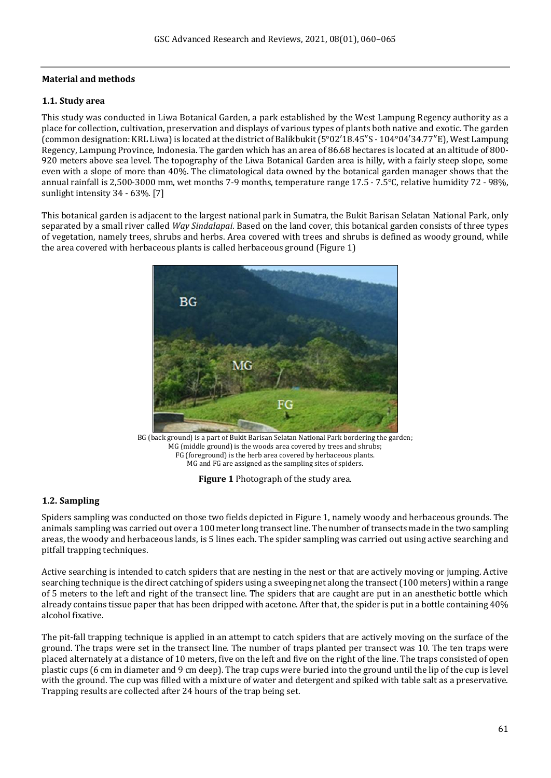## **Material and methods**

## **1.1. Study area**

This study was conducted in Liwa Botanical Garden, a park established by the West Lampung Regency authority as a place for collection, cultivation, preservation and displays of various types of plants both native and exotic. The garden (common designation: KRL Liwa) is located at the district of Balikbukit (5°02′18.45″S - 104°04′34.77″E), West Lampung Regency, Lampung Province, Indonesia. The garden which has an area of 86.68 hectares is located at an altitude of 800- 920 meters above sea level. The topography of the Liwa Botanical Garden area is hilly, with a fairly steep slope, some even with a slope of more than 40%. The climatological data owned by the botanical garden manager shows that the annual rainfall is 2,500-3000 mm, wet months 7-9 months, temperature range 17.5 - 7.5°C, relative humidity 72 - 98%, sunlight intensity 34 - 63%. [7]

This botanical garden is adjacent to the largest national park in Sumatra, the Bukit Barisan Selatan National Park, only separated by a small river called *Way Sindalapai*. Based on the land cover, this botanical garden consists of three types of vegetation, namely trees, shrubs and herbs. Area covered with trees and shrubs is defined as woody ground, while the area covered with herbaceous plants is called herbaceous ground (Figure 1)



BG (back ground) is a part of Bukit Barisan Selatan National Park bordering the garden; MG (middle ground) is the woods area covered by trees and shrubs; FG (foreground) is the herb area covered by herbaceous plants. MG and FG are assigned as the sampling sites of spiders.

**Figure 1** Photograph of the study area.

## **1.2. Sampling**

Spiders sampling was conducted on those two fields depicted in Figure 1, namely woody and herbaceous grounds. The animals sampling was carried out over a 100 meter long transect line. The number of transects made in the two sampling areas, the woody and herbaceous lands, is 5 lines each. The spider sampling was carried out using active searching and pitfall trapping techniques.

Active searching is intended to catch spiders that are nesting in the nest or that are actively moving or jumping. Active searching technique is the direct catching of spiders using a sweeping net along the transect (100 meters) within a range of 5 meters to the left and right of the transect line. The spiders that are caught are put in an anesthetic bottle which already contains tissue paper that has been dripped with acetone. After that, the spider is put in a bottle containing 40% alcohol fixative.

The pit-fall trapping technique is applied in an attempt to catch spiders that are actively moving on the surface of the ground. The traps were set in the transect line. The number of traps planted per transect was 10. The ten traps were placed alternately at a distance of 10 meters, five on the left and five on the right of the line. The traps consisted of open plastic cups (6 cm in diameter and 9 cm deep). The trap cups were buried into the ground until the lip of the cup is level with the ground. The cup was filled with a mixture of water and detergent and spiked with table salt as a preservative. Trapping results are collected after 24 hours of the trap being set.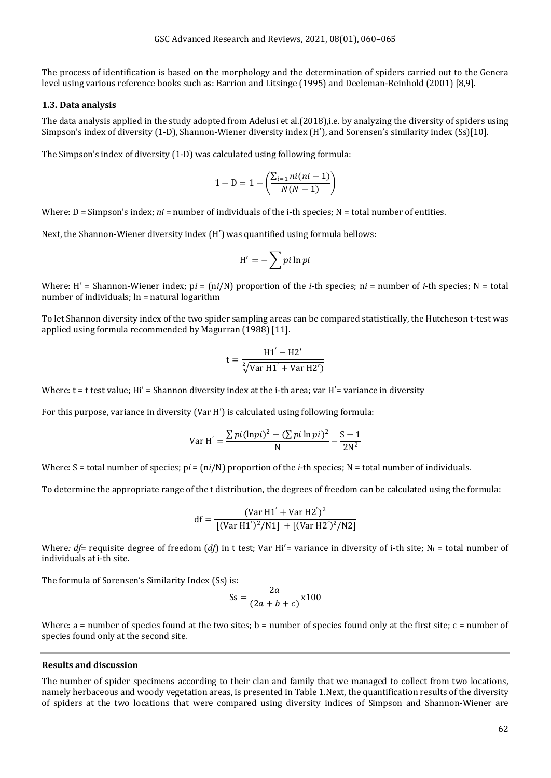The process of identification is based on the morphology and the determination of spiders carried out to the Genera level using various reference books such as: Barrion and Litsinge (1995) and Deeleman-Reinhold (2001) [8,9].

#### **1.3. Data analysis**

The data analysis applied in the study adopted from Adelusi et al.(2018),i.e. by analyzing the diversity of spiders using Simpson's index of diversity (1-D), Shannon-Wiener diversity index (H′), and Sorensen's similarity index (Ss)[10].

The Simpson's index of diversity (1-D) was calculated using following formula:

$$
1 - D = 1 - \left(\frac{\sum_{i=1} n i (n i - 1)}{N(N-1)}\right)
$$

Where: D = Simpson's index; *ni* = number of individuals of the i-th species; N = total number of entities.

Next, the Shannon-Wiener diversity index (H′) was quantified using formula bellows:

$$
H' = -\sum p i \ln p i
$$

Where: H' = Shannon-Wiener index; p*i* = (n*i*/N) proportion of the *i-*th species; n*i* = number of *i*-th species; N = total number of individuals; ln = natural logarithm

To let Shannon diversity index of the two spider sampling areas can be compared statistically, the Hutcheson t-test was applied using formula recommended by Magurran (1988) [11].

$$
t = \frac{H1' - H2'}{\sqrt[2]{Var H1' + Var H2')}}
$$

Where:  $t = t$  test value; Hi' = Shannon diversity index at the i-th area; var  $H'$  = variance in diversity

For this purpose, variance in diversity (Var H') is calculated using following formula:

Var H' = 
$$
\frac{\sum pi(\ln pi)^2 - (\sum pi \ln pi)^2}{N} - \frac{S-1}{2N^2}
$$

Where: S = total number of species;  $pi = \frac{ni}{N}$  proportion of the *i*-th species; N = total number of individuals.

To determine the appropriate range of the t distribution, the degrees of freedom can be calculated using the formula:

df = 
$$
\frac{(\text{Var H1}' + \text{Var H2}')^2}{[(\text{Var H1}')^2/\text{N1}] + [(\text{Var H2}')^2/\text{N2}]}
$$

Where:  $df=$  requisite degree of freedom (*df*) in t test; Var Hi'= variance in diversity of i-th site; N<sub>i</sub> = total number of individuals at i-th site.

The formula of Sorensen's Similarity Index (Ss) is:

$$
Ss = \frac{2a}{(2a+b+c)} \times 100
$$

Where:  $a =$  number of species found at the two sites;  $b =$  number of species found only at the first site;  $c =$  number of species found only at the second site.

#### **Results and discussion**

The number of spider specimens according to their clan and family that we managed to collect from two locations, namely herbaceous and woody vegetation areas, is presented in Table 1.Next, the quantification results of the diversity of spiders at the two locations that were compared using diversity indices of Simpson and Shannon-Wiener are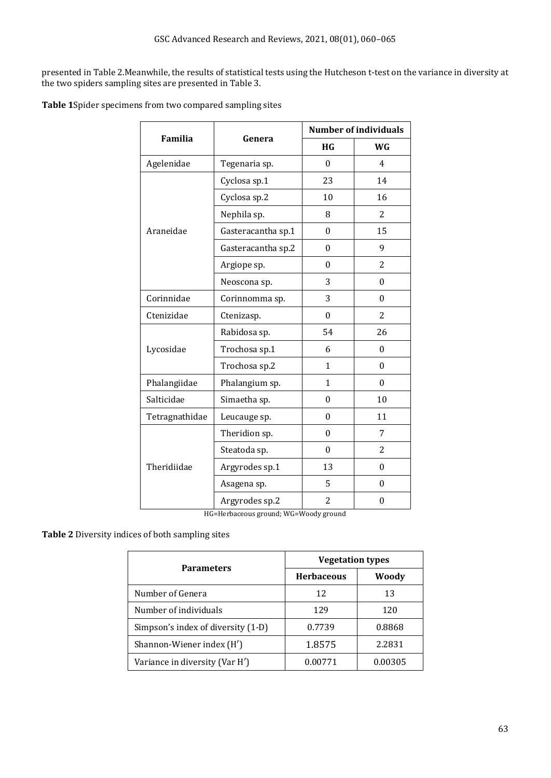presented in Table 2.Meanwhile, the results of statistical tests using the Hutcheson t-test on the variance in diversity at the two spiders sampling sites are presented in Table 3.

**Table 1**Spider specimens from two compared sampling sites

| Familia                               | Genera             | <b>Number of individuals</b> |                  |  |
|---------------------------------------|--------------------|------------------------------|------------------|--|
|                                       |                    | <b>HG</b>                    | WG               |  |
| Agelenidae                            | Tegenaria sp.      | $\theta$                     | $\overline{4}$   |  |
| Araneidae                             | Cyclosa sp.1       | 23                           | 14               |  |
|                                       | Cyclosa sp.2       | 10                           | 16               |  |
|                                       | Nephila sp.        | 8                            | 2                |  |
|                                       | Gasteracantha sp.1 | $\theta$                     | 15               |  |
|                                       | Gasteracantha sp.2 | $\boldsymbol{0}$             | 9                |  |
|                                       | Argiope sp.        | 0                            | 2                |  |
|                                       | Neoscona sp.       | 3                            | $\boldsymbol{0}$ |  |
| Corinnidae                            | Corinnomma sp.     | 3                            | $\theta$         |  |
| Ctenizidae                            | Ctenizasp.         | $\theta$                     | 2                |  |
| Lycosidae                             | Rabidosa sp.       | 54                           | 26               |  |
|                                       | Trochosa sp.1      | 6                            | $\mathbf{0}$     |  |
|                                       | Trochosa sp.2      | $\mathbf{1}$                 | $\mathbf{0}$     |  |
| Phalangiidae                          | Phalangium sp.     | $\mathbf{1}$                 | $\mathbf{0}$     |  |
| Salticidae                            | Simaetha sp.       | 0                            | 10               |  |
| Tetragnathidae                        | Leucauge sp.       | $\boldsymbol{0}$             | 11               |  |
| Theridiidae                           | Theridion sp.      | $\theta$                     | 7                |  |
|                                       | Steatoda sp.       | $\theta$                     | 2                |  |
|                                       | Argyrodes sp.1     | 13                           | 0                |  |
|                                       | Asagena sp.        | 5                            | $\theta$         |  |
|                                       | Argyrodes sp.2     | $\overline{c}$               | $\mathbf{0}$     |  |
| HG=Herbaceous ground; WG=Woody ground |                    |                              |                  |  |

**Table 2** Diversity indices of both sampling sites

| <b>Parameters</b>                  | <b>Vegetation types</b> |         |
|------------------------------------|-------------------------|---------|
|                                    | <b>Herbaceous</b>       | Woody   |
| Number of Genera                   | 12                      | 13      |
| Number of individuals              | 129                     | 120     |
| Simpson's index of diversity (1-D) | 0.7739                  | 0.8868  |
| Shannon-Wiener index (H')          | 1.8575                  | 2.2831  |
| Variance in diversity (Var H')     | 0.00771                 | 0.00305 |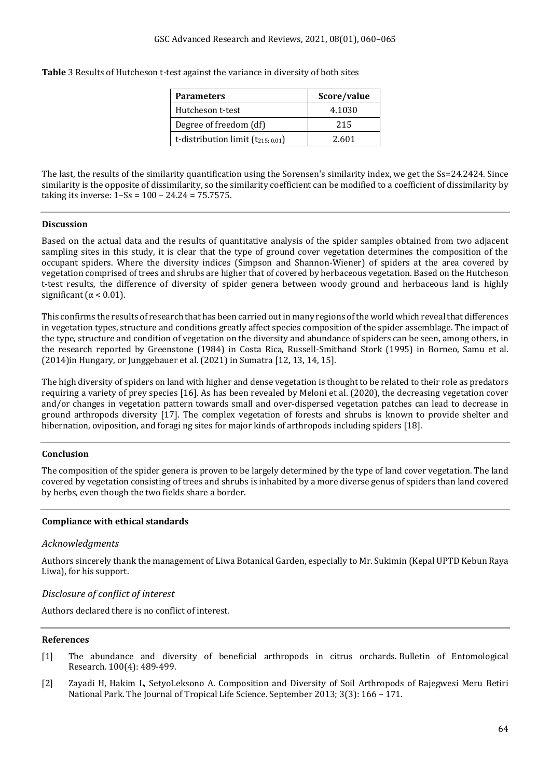**Table** 3 Results of Hutcheson t-test against the variance in diversity of both sites

| <b>Parameters</b>                      | Score/value |  |
|----------------------------------------|-------------|--|
| Hutcheson t-test                       | 4.1030      |  |
| Degree of freedom (df)                 | 215         |  |
| t-distribution limit $(t_{215; 0.01})$ | 2.601       |  |

The last, the results of the similarity quantification using the Sorensen's similarity index, we get the Ss=24.2424. Since similarity is the opposite of dissimilarity, so the similarity coefficient can be modified to a coefficient of dissimilarity by taking its inverse:  $1-Ss = 100 - 24.24 = 75.7575$ .

### **Discussion**

Based on the actual data and the results of quantitative analysis of the spider samples obtained from two adjacent sampling sites in this study, it is clear that the type of ground cover vegetation determines the composition of the occupant spiders. Where the diversity indices (Simpson and Shannon-Wiener) of spiders at the area covered by vegetation comprised of trees and shrubs are higher that of covered by herbaceous vegetation. Based on the Hutcheson t-test results, the difference of diversity of spider genera between woody ground and herbaceous land is highly significant ( $\alpha$  < 0.01).

This confirms the results of research that has been carried out in many regions of the world which reveal that differences in vegetation types, structure and conditions greatly affect species composition of the spider assemblage. The impact of the type, structure and condition of vegetation on the diversity and abundance of spiders can be seen, among others, in the research reported by Greenstone (1984) in Costa Rica, Russell-Smithand Stork (1995) in Borneo, Samu et al. (2014)in Hungary, or Junggebauer et al. (2021) in Sumatra [12, 13, 14, 15].

The high diversity of spiders on land with higher and dense vegetation is thought to be related to their role as predators requiring a variety of prey species [16]. As has been revealed by Meloni et al. (2020), the decreasing vegetation cover and/or changes in vegetation pattern towards small and over-dispersed vegetation patches can lead to decrease in ground arthropods diversity [17]. The complex vegetation of forests and shrubs is known to provide shelter and hibernation, oviposition, and foragi ng sites for major kinds of arthropods including spiders [18].

## **Conclusion**

The composition of the spider genera is proven to be largely determined by the type of land cover vegetation. The land covered by vegetation consisting of trees and shrubs is inhabited by a more diverse genus of spiders than land covered by herbs, even though the two fields share a border.

## **Compliance with ethical standards**

## *Acknowledgments*

Authors sincerely thank the management of Liwa Botanical Garden, especially to Mr. Sukimin (Kepal UPTD Kebun Raya Liwa), for his support.

## *Disclosure of conflict of interest*

Authors declared there is no conflict of interest.

#### **References**

- [1] The abundance and diversity of beneficial arthropods in citrus orchards. Bulletin of Entomological Research. 100(4): 489-499.
- [2] Zayadi H, Hakim L, SetyoLeksono A. Composition and Diversity of Soil Arthropods of Rajegwesi Meru Betiri National Park. The Journal of Tropical Life Science. September 2013; 3(3): 166 – 171.